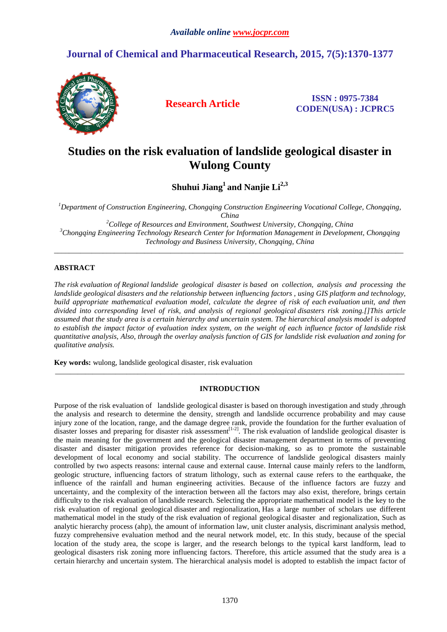# **Journal of Chemical and Pharmaceutical Research, 2015, 7(5):1370-1377**



**Research Article ISSN : 0975-7384 CODEN(USA) : JCPRC5**

# **Studies on the risk evaluation of landslide geological disaster in Wulong County**

**Shuhui Jiang<sup>1</sup>and Nanjie Li2,3** 

*<sup>1</sup>Department of Construction Engineering, Chongqing Construction Engineering Vocational College, Chongqing, China* 

*<sup>2</sup>College of Resources and Environment, Southwest University, Chongqing, China <sup>3</sup>Chongqing Engineering Technology Research Center for Information Management in Development, Chongqing Technology and Business University, Chongqing, China* 

\_\_\_\_\_\_\_\_\_\_\_\_\_\_\_\_\_\_\_\_\_\_\_\_\_\_\_\_\_\_\_\_\_\_\_\_\_\_\_\_\_\_\_\_\_\_\_\_\_\_\_\_\_\_\_\_\_\_\_\_\_\_\_\_\_\_\_\_\_\_\_\_\_\_\_\_\_\_\_\_\_\_\_\_\_\_\_\_\_\_\_\_\_

## **ABSTRACT**

*The risk evaluation of Regional landslide geological disaster is based on collection, analysis and processing the landslide geological disasters and the relationship between influencing factors , using GIS platform and technology, build appropriate mathematical evaluation model, calculate the degree of risk of each evaluation unit, and then divided into corresponding level of risk, and analysis of regional geological disasters risk zoning.[]This article assumed that the study area is a certain hierarchy and uncertain system. The hierarchical analysis model is adopted to establish the impact factor of evaluation index system, on the weight of each influence factor of landslide risk quantitative analysis, Also, through the overlay analysis function of GIS for landslide risk evaluation and zoning for qualitative analysis.* 

**Key words:** wulong, landslide geological disaster, risk evaluation

## **INTRODUCTION**

\_\_\_\_\_\_\_\_\_\_\_\_\_\_\_\_\_\_\_\_\_\_\_\_\_\_\_\_\_\_\_\_\_\_\_\_\_\_\_\_\_\_\_\_\_\_\_\_\_\_\_\_\_\_\_\_\_\_\_\_\_\_\_\_\_\_\_\_\_\_\_\_\_\_\_\_\_\_\_\_\_\_\_\_\_\_\_\_\_\_\_\_\_

Purpose of the risk evaluation of landslide geological disaster is based on thorough investigation and study ,through the analysis and research to determine the density, strength and landslide occurrence probability and may cause injury zone of the location, range, and the damage degree rank, provide the foundation for the further evaluation of disaster losses and preparing for disaster risk assessment<sup>[1-2]</sup>. The risk evaluation of landslide geological disaster is the main meaning for the government and the geological disaster management department in terms of preventing disaster and disaster mitigation provides reference for decision-making, so as to promote the sustainable development of local economy and social stability. The occurrence of landslide geological disasters mainly controlled by two aspects reasons: internal cause and external cause. Internal cause mainly refers to the landform, geologic structure, influencing factors of stratum lithology, such as external cause refers to the earthquake, the influence of the rainfall and human engineering activities. Because of the influence factors are fuzzy and uncertainty, and the complexity of the interaction between all the factors may also exist, therefore, brings certain difficulty to the risk evaluation of landslide research. Selecting the appropriate mathematical model is the key to the risk evaluation of regional geological disaster and regionalization, Has a large number of scholars use different mathematical model in the study of the risk evaluation of regional geological disaster and regionalization, Such as analytic hierarchy process (ahp), the amount of information law, unit cluster analysis, discriminant analysis method, fuzzy comprehensive evaluation method and the neural network model, etc. In this study, because of the special location of the study area, the scope is larger, and the research belongs to the typical karst landform, lead to geological disasters risk zoning more influencing factors. Therefore, this article assumed that the study area is a certain hierarchy and uncertain system. The hierarchical analysis model is adopted to establish the impact factor of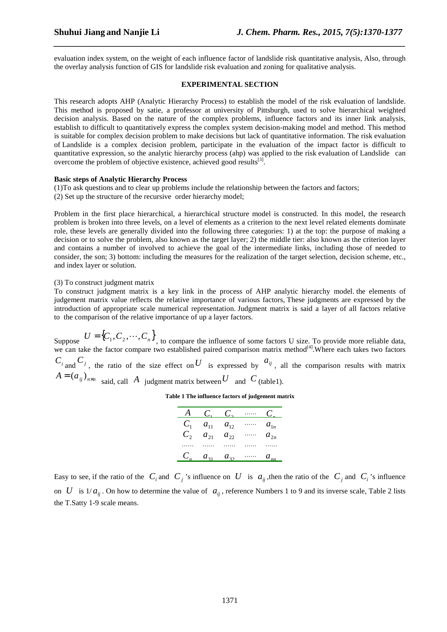evaluation index system, on the weight of each influence factor of landslide risk quantitative analysis, Also, through the overlay analysis function of GIS for landslide risk evaluation and zoning for qualitative analysis.

*\_\_\_\_\_\_\_\_\_\_\_\_\_\_\_\_\_\_\_\_\_\_\_\_\_\_\_\_\_\_\_\_\_\_\_\_\_\_\_\_\_\_\_\_\_\_\_\_\_\_\_\_\_\_\_\_\_\_\_\_\_\_\_\_\_\_\_\_\_\_\_\_\_\_\_\_\_\_*

#### **EXPERIMENTAL SECTION**

This research adopts AHP (Analytic Hierarchy Process) to establish the model of the risk evaluation of landslide. This method is proposed by satie, a professor at university of Pittsburgh, used to solve hierarchical weighted decision analysis. Based on the nature of the complex problems, influence factors and its inner link analysis, establish to difficult to quantitatively express the complex system decision-making model and method. This method is suitable for complex decision problem to make decisions but lack of quantitative information. The risk evaluation of Landslide is a complex decision problem, participate in the evaluation of the impact factor is difficult to quantitative expression, so the analytic hierarchy process (ahp) was applied to the risk evaluation of Landslide can overcome the problem of objective existence, achieved good results $^{[3]}$ .

#### **Basic steps of Analytic Hierarchy Process**

(1)To ask questions and to clear up problems include the relationship between the factors and factors; (2) Set up the structure of the recursive order hierarchy model;

Problem in the first place hierarchical, a hierarchical structure model is constructed. In this model, the research problem is broken into three levels, on a level of elements as a criterion to the next level related elements dominate role, these levels are generally divided into the following three categories: 1) at the top: the purpose of making a decision or to solve the problem, also known as the target layer; 2) the middle tier: also known as the criterion layer and contains a number of involved to achieve the goal of the intermediate links, including those of needed to consider, the son; 3) bottom: including the measures for the realization of the target selection, decision scheme, etc., and index layer or solution.

(3) To construct judgment matrix

To construct judgment matrix is a key link in the process of AHP analytic hierarchy model. the elements of judgement matrix value reflects the relative importance of various factors, These judgments are expressed by the introduction of appropriate scale numerical representation. Judgment matrix is said a layer of all factors relative to the comparison of the relative importance of up a layer factors.

Suppose  $U = \{C_1, C_2, \dots, C_n\}$ , to compare the influence of some factors U size. To provide more reliable data, we can take the factor compare two established paired comparison matrix method<sup>[4]</sup>. Where each takes two factors  $C_i$  and  $C_j$ , the ratio of the size effect on U is expressed by  $a_{ij}$ , all the comparison results with matrix  $A = (a_{ij})_{n \times n}$  said, call *A* judgment matrix between *U* and *C* (table1).

**Table 1 The influence factors of judgement matrix** 

| A            | $C_{1}$  | $C_{\gamma}$ | . | $C_{-}$  |
|--------------|----------|--------------|---|----------|
| $C_{1}$      | $a_{11}$ | $a_{12}$     | . | $a_{1n}$ |
| $C_{\gamma}$ | $a_{21}$ | $a_{22}$     |   | $a_{2n}$ |
|              |          |              |   |          |
| $C_{n}$      | $a_{31}$ | $a_{32}$     |   | $a_{nn}$ |

Easy to see, if the ratio of the  $C_i$  and  $C_j$  's influence on  $U$  is  $a_{ij}$ , then the ratio of the  $C_j$  and  $C_i$  's influence on *U* is  $1/a_{ii}$ . On how to determine the value of  $a_{ii}$ , reference Numbers 1 to 9 and its inverse scale, Table 2 lists the T.Satty 1-9 scale means.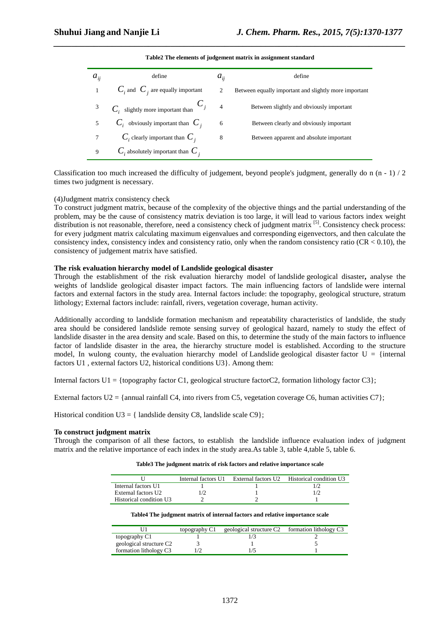| $a_{ij}$ | define                                   | $a_{ii}$       | define                                                |
|----------|------------------------------------------|----------------|-------------------------------------------------------|
|          | $C_i$ and $C_i$ are equally important    | 2              | Between equally important and slightly more important |
| 3        | $C_i$ slightly more important than $C_j$ | $\overline{4}$ | Between slightly and obviously important              |
|          | $C_i$ obviously important than $C_i$     | 6              | Between clearly and obviously important               |
| 7        | $C_i$ clearly important than $C_i$       | 8              | Between apparent and absolute important               |
| 9        | $C_i$ absolutely important than $C_i$    |                |                                                       |

*\_\_\_\_\_\_\_\_\_\_\_\_\_\_\_\_\_\_\_\_\_\_\_\_\_\_\_\_\_\_\_\_\_\_\_\_\_\_\_\_\_\_\_\_\_\_\_\_\_\_\_\_\_\_\_\_\_\_\_\_\_\_\_\_\_\_\_\_\_\_\_\_\_\_\_\_\_\_* **Table2 The elements of judgement matrix in assignment standard** 

Classification too much increased the difficulty of judgement, beyond people's judgment, generally do n  $(n - 1) / 2$ times two judgment is necessary.

#### (4)Judgment matrix consistency check

To construct judgment matrix, because of the complexity of the objective things and the partial understanding of the problem, may be the cause of consistency matrix deviation is too large, it will lead to various factors index weight distribution is not reasonable, therefore, need a consistency check of judgment matrix <sup>[5]</sup>. Consistency check process: for every judgment matrix calculating maximum eigenvalues and corresponding eigenvectors, and then calculate the consistency index, consistency index and consistency ratio, only when the random consistency ratio ( $CR < 0.10$ ), the consistency of judgement matrix have satisfied.

#### **The risk evaluation hierarchy model of Landslide geological disaster**

Through the establishment of the risk evaluation hierarchy model of landslide geological disaster**,** analyse the weights of landslide geological disaster impact factors. The main influencing factors of landslide were internal factors and external factors in the study area. Internal factors include: the topography, geological structure, stratum lithology; External factors include: rainfall, rivers, vegetation coverage, human activity.

Additionally according to landslide formation mechanism and repeatability characteristics of landslide, the study area should be considered landslide remote sensing survey of geological hazard, namely to study the effect of landslide disaster in the area density and scale. Based on this, to determine the study of the main factors to influence factor of landslide disaster in the area, the hierarchy structure model is established. According to the structure model, In wulong county, the evaluation hierarchy model of Landslide geological disaster factor  $U = \{$ internal factors U1 , external factors U2, historical conditions U3}. Among them:

Internal factors  $U1 = \{top$  topography factor C1, geological structure factorC2, formation lithology factor C3};

External factors  $U2 = \{\text{annual rainfall C4}, \text{ into rivers from C5}, \text{vegetation coverage C6}, \text{human activities C7}\}\;$ 

Historical condition  $U3 = \{$  landslide density C8, landslide scale C9 $\}$ ;

#### **To construct judgment matrix**

Through the comparison of all these factors, to establish the landslide influence evaluation index of judgment matrix and the relative importance of each index in the study area.As table 3, table 4,table 5, table 6.

| Table3 The judgment matrix of risk factors and relative importance scale |  |
|--------------------------------------------------------------------------|--|
|--------------------------------------------------------------------------|--|

|                         | Internal factors U1 | External factors U2 Historical condition U3 |
|-------------------------|---------------------|---------------------------------------------|
| Internal factors U1     |                     |                                             |
| External factors U2     |                     |                                             |
| Historical condition U3 |                     |                                             |

#### **Table4 The judgment matrix of internal factors and relative importance scale**

|                                     | topography C1 | geological structure C <sub>2</sub> formation lithology C <sub>3</sub> |  |
|-------------------------------------|---------------|------------------------------------------------------------------------|--|
| topography C1                       |               |                                                                        |  |
| geological structure C <sub>2</sub> |               |                                                                        |  |
| formation lithology C3              |               |                                                                        |  |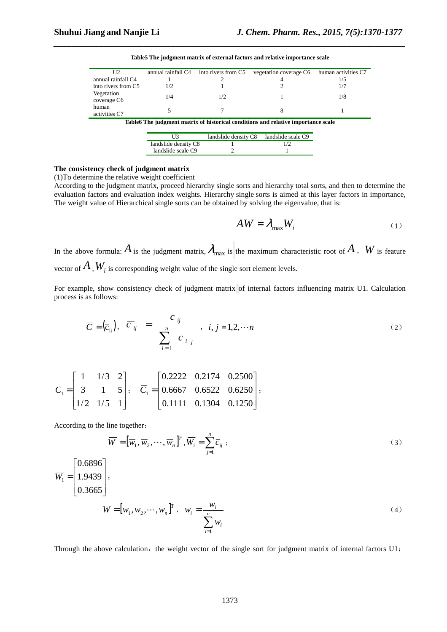| U2                                                                                  | annual rainfall C4 | into rivers from C5 | vegetation coverage C6 | human activities C7 |  |
|-------------------------------------------------------------------------------------|--------------------|---------------------|------------------------|---------------------|--|
| annual rainfall C4                                                                  |                    |                     |                        | 1/5                 |  |
| into rivers from C5                                                                 | 1/2                |                     |                        |                     |  |
| Vegetation<br>coverage C <sub>6</sub>                                               | 1/4                |                     |                        | 1/8                 |  |
| human<br>activities C7                                                              |                    |                     |                        |                     |  |
| Table of The judgment matrix of historical conditions and relative importance scale |                    |                     |                        |                     |  |

**Table5 The judgment matrix of external factors and relative importance scale** 

*\_\_\_\_\_\_\_\_\_\_\_\_\_\_\_\_\_\_\_\_\_\_\_\_\_\_\_\_\_\_\_\_\_\_\_\_\_\_\_\_\_\_\_\_\_\_\_\_\_\_\_\_\_\_\_\_\_\_\_\_\_\_\_\_\_\_\_\_\_\_\_\_\_\_\_\_\_\_*

| I I 3                | landslide density C8 | landslide scale C9 |
|----------------------|----------------------|--------------------|
| landslide density C8 |                      |                    |
| landslide scale C9   |                      |                    |

## **The consistency check of judgment matrix**

(1)To determine the relative weight coefficient

According to the judgment matrix, proceed hierarchy single sorts and hierarchy total sorts, and then to determine the evaluation factors and evaluation index weights. Hierarchy single sorts is aimed at this layer factors in importance, The weight value of Hierarchical single sorts can be obtained by solving the eigenvalue, that is:

$$
AW = \lambda_{\text{max}} W_i \tag{1}
$$

In the above formula:  $A$  is the judgment matrix,  $\lambda_{\text{max}}$  is the maximum characteristic root of  $A$ ,  $W$  is feature vector of  $A$  ,  $W_i$  is corresponding weight value of the single sort element levels.

For example, show consistency check of judgment matrix of internal factors influencing matrix U1. Calculation process is as follows:

$$
\overline{C} = \left(\overline{c}_{ij}\right), \quad \overline{c}_{ij} = \frac{c_{ij}}{\sum_{i=1}^{n} c_{ij}}, \quad i, j = 1, 2, \cdots n \tag{2}
$$

$$
C_1 = \begin{bmatrix} 1 & 1/3 & 2 \\ 3 & 1 & 5 \\ 1/2 & 1/5 & 1 \end{bmatrix}, \quad \overline{C}_1 = \begin{bmatrix} 0.2222 & 0.2174 & 0.2500 \\ 0.6667 & 0.6522 & 0.6250 \\ 0.1111 & 0.1304 & 0.1250 \end{bmatrix},
$$

According to the line together:

$$
\overline{W} = [\overline{w}_1, \overline{w}_2, \cdots, \overline{w}_n]^T, \overline{W}_i = \sum_{j=1}^n \overline{c}_{ij} ;
$$
\n(3)

$$
\overline{W}_1 = \begin{bmatrix} 0.6896 \\ 1.9439 \\ 0.3665 \end{bmatrix};
$$
\n
$$
W = [w_1, w_2, \dots, w_n]^T, \quad w_i = \frac{w_i}{\sum_{i=1}^n w_i}
$$
\n(4)

Through the above calculation, the weight vector of the single sort for judgment matrix of internal factors  $U1$ :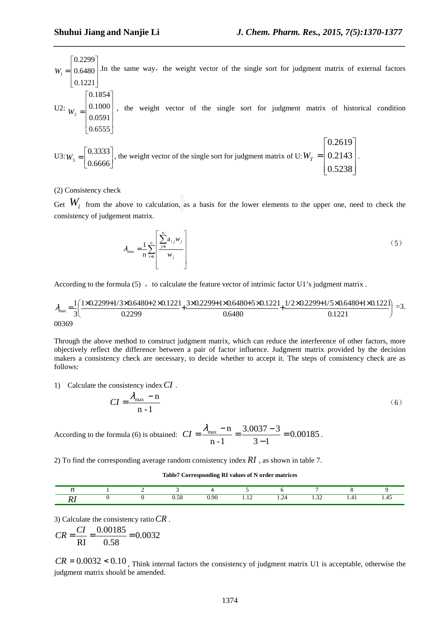$\overline{\phantom{a}}$  $\overline{\phantom{a}}$ 1  $\mathbf{r}$  $W_1 = 0.6480$  $\lceil 0.2299\rceil$ .In the same way, the weight vector of the single sort for judgment matrix of external factors

*\_\_\_\_\_\_\_\_\_\_\_\_\_\_\_\_\_\_\_\_\_\_\_\_\_\_\_\_\_\_\_\_\_\_\_\_\_\_\_\_\_\_\_\_\_\_\_\_\_\_\_\_\_\_\_\_\_\_\_\_\_\_\_\_\_\_\_\_\_\_\_\_\_\_\_\_\_\_*

$$
U2: W_2 = \begin{bmatrix} 0.1221 \\ 0.1000 \\ 0.0591 \\ 0.6555 \end{bmatrix}
$$
, the weight vector of the single sort for judgment matrix of historical condition

$$
U3:W_3 = \begin{bmatrix} 0.3333 \\ 0.6666 \end{bmatrix}
$$
, the weight vector of the single sort for judgment matrix of U:  $W_T = \begin{bmatrix} 0.2619 \\ 0.2143 \\ 0.5238 \end{bmatrix}$ .

### (2) Consistency check

Get  $W_i$  from the above to calculation, as a basis for the lower elements to the upper one, need to check the consistency of judgement matrix.

$$
\lambda_{\max} = \frac{1}{n} \sum_{i=1}^{n} \left[ \frac{\sum_{j=1}^{n} a_{ij} w_j}{w_j} \right]
$$
\n
$$
(5)
$$

According to the formula  $(5)$ , to calculate the feature vector of intrinsic factor U1's judgment matrix .

$$
\lambda_{\max} = \frac{1}{3} \left( \frac{1 \times 0.2299 + 1/3 \times 0.6480 + 2 \times 0.1221}{0.2299} + \frac{3 \times 0.2299 + 1 \times 0.6480 + 5 \times 0.1221}{0.6480} + \frac{1/2 \times 0.2299 + 1/5 \times 0.6480 + 1 \times 0.1221}{0.1221} \right) = 3.
$$

Through the above method to construct judgment matrix, which can reduce the interference of other factors, more objectively reflect the difference between a pair of factor influence. Judgment matrix provided by the decision makers a consistency check are necessary, to decide whether to accept it. The steps of consistency check are as follows:

1) Calculate the consistency index*CI* .

$$
CI = \frac{\lambda_{\text{max}} - n}{n - 1} \tag{6}
$$

According to the formula (6) is obtained:  $CI = \frac{N_{\text{max}}}{I} = \frac{5.0037 \text{ J}}{2.1 \text{ kg}} = 0.00185$  $3 - 1$  $3.0037 - 3$ n -1  $\frac{m}{\text{max}} - n = \frac{3.0037 - 3}{2.0037} =$ −  $CI = \frac{\lambda_{\text{max}} - n}{\lambda_{\text{max}}} = \frac{3.0037 - 3}{\lambda_{\text{max}}} = 0.00185$ .

2) To find the corresponding average random consistency index *RI* , as shown in table 7.

#### **Table7 Corresponding RI values of N order matrices**

|  | $  -$ | ı QC<br>. | .<br>the contract of the contract of the | ---<br>the contract of the contract of the | - | . .<br>the control of the control of the |  |
|--|-------|-----------|------------------------------------------|--------------------------------------------|---|------------------------------------------|--|

3) Calculate the consistency ratio*CR* .

$$
CR = \frac{CI}{RI} = \frac{0.00185}{0.58} = 0.0032
$$

 $CR = 0.0032 < 0.10$ , Think internal factors the consistency of judgment matrix U1 is acceptable, otherwise the judgment matrix should be amended.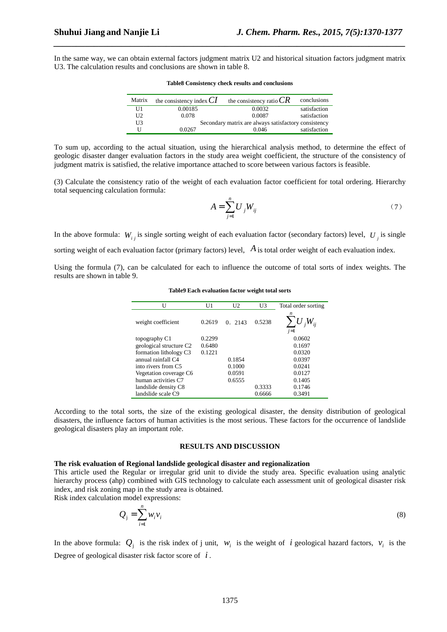In the same way, we can obtain external factors judgment matrix U2 and historical situation factors judgment matrix U3. The calculation results and conclusions are shown in table 8.

*\_\_\_\_\_\_\_\_\_\_\_\_\_\_\_\_\_\_\_\_\_\_\_\_\_\_\_\_\_\_\_\_\_\_\_\_\_\_\_\_\_\_\_\_\_\_\_\_\_\_\_\_\_\_\_\_\_\_\_\_\_\_\_\_\_\_\_\_\_\_\_\_\_\_\_\_\_\_*

| Matrix         | the consistency index $CI$ | the consistency ratio $CR$                           | conclusions  |
|----------------|----------------------------|------------------------------------------------------|--------------|
| U1             | 0.00185                    | 0.0032                                               | satisfaction |
| U <sub>2</sub> | 0.078                      | 0.0087                                               | satisfaction |
| U3             |                            | Secondary matrix are always satisfactory consistency |              |
|                | 0.0267                     | 0.046                                                | satisfaction |

**Table8 Consistency check results and conclusions** 

To sum up, according to the actual situation, using the hierarchical analysis method, to determine the effect of geologic disaster danger evaluation factors in the study area weight coefficient, the structure of the consistency of judgment matrix is satisfied, the relative importance attached to score between various factors is feasible.

(3) Calculate the consistency ratio of the weight of each evaluation factor coefficient for total ordering. Hierarchy total sequencing calculation formula:

$$
A = \sum_{j=1}^{n} U_j W_{ij} \tag{7}
$$

In the above formula:  $W_{ij}$  is single sorting weight of each evaluation factor (secondary factors) level,  $U_j$  is single

sorting weight of each evaluation factor (primary factors) level,  $\hat{A}$  is total order weight of each evaluation index.

Using the formula (7), can be calculated for each to influence the outcome of total sorts of index weights. The results are shown in table 9.

| U                                   | U1     | U <sub>2</sub> | U3     | Total order sorting |
|-------------------------------------|--------|----------------|--------|---------------------|
| weight coefficient                  | 0.2619 | 0.2143         | 0.5238 | n<br>$j=1$          |
| topography C1                       | 0.2299 |                |        | 0.0602              |
| geological structure C <sub>2</sub> | 0.6480 |                |        | 0.1697              |
| formation lithology C3              | 0.1221 |                |        | 0.0320              |
| annual rainfall C4                  |        | 0.1854         |        | 0.0397              |
| into rivers from C5                 |        | 0.1000         |        | 0.0241              |
| Vegetation coverage C6              |        | 0.0591         |        | 0.0127              |
| human activities C7                 |        | 0.6555         |        | 0.1405              |
| landslide density C8                |        |                | 0.3333 | 0.1746              |
| landslide scale C9                  |        |                | 0.6666 | 0.3491              |

**Table9 Each evaluation factor weight total sorts** 

According to the total sorts, the size of the existing geological disaster, the density distribution of geological disasters, the influence factors of human activities is the most serious. These factors for the occurrence of landslide geological disasters play an important role.

#### **RESULTS AND DISCUSSION**

## **The risk evaluation of Regional landslide geological disaster and regionalization**

This article used the Regular or irregular grid unit to divide the study area. Specific evaluation using analytic hierarchy process (ahp) combined with GIS technology to calculate each assessment unit of geological disaster risk index, and risk zoning map in the study area is obtained. Risk index calculation model expressions:

$$
Q_j = \sum_{i=1}^n w_i v_i \tag{8}
$$

In the above formula:  $Q_i$  is the risk index of j unit,  $W_i$  is the weight of *i* geological hazard factors,  $V_i$  is the Degree of geological disaster risk factor score of *i* .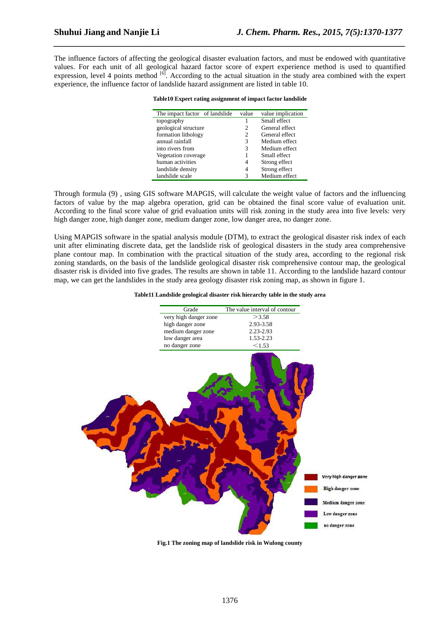The influence factors of affecting the geological disaster evaluation factors, and must be endowed with quantitative values. For each unit of all geological hazard factor score of expert experience method is used to quantified expression, level 4 points method <sup>[6]</sup>. According to the actual situation in the study area combined with the expert experience, the influence factor of landslide hazard assignment are listed in table 10.

*\_\_\_\_\_\_\_\_\_\_\_\_\_\_\_\_\_\_\_\_\_\_\_\_\_\_\_\_\_\_\_\_\_\_\_\_\_\_\_\_\_\_\_\_\_\_\_\_\_\_\_\_\_\_\_\_\_\_\_\_\_\_\_\_\_\_\_\_\_\_\_\_\_\_\_\_\_\_*

|  | Table10 Expert rating assignment of impact factor landslide |  |  |
|--|-------------------------------------------------------------|--|--|
|  |                                                             |  |  |

| value | value implication |
|-------|-------------------|
|       | Small effect      |
| 2     | General effect    |
| 2     | General effect    |
| 3     | Medium effect     |
| 3     | Medium effect     |
|       | Small effect      |
| 4     | Strong effect     |
| 4     | Strong effect     |
| 3     | Medium effect     |
|       |                   |

Through formula (9) , using GIS software MAPGIS, will calculate the weight value of factors and the influencing factors of value by the map algebra operation, grid can be obtained the final score value of evaluation unit. According to the final score value of grid evaluation units will risk zoning in the study area into five levels: very high danger zone, high danger zone, medium danger zone, low danger area, no danger zone.

Using MAPGIS software in the spatial analysis module (DTM), to extract the geological disaster risk index of each unit after eliminating discrete data, get the landslide risk of geological disasters in the study area comprehensive plane contour map. In combination with the practical situation of the study area, according to the regional risk zoning standards, on the basis of the landslide geological disaster risk comprehensive contour map, the geological disaster risk is divided into five grades. The results are shown in table 11. According to the landslide hazard contour map, we can get the landslides in the study area geology disaster risk zoning map, as shown in figure 1.

#### **Table11 Landslide geological disaster risk hierarchy table in the study area**



**Fig.1 The zoning map of landslide risk in Wulong county**